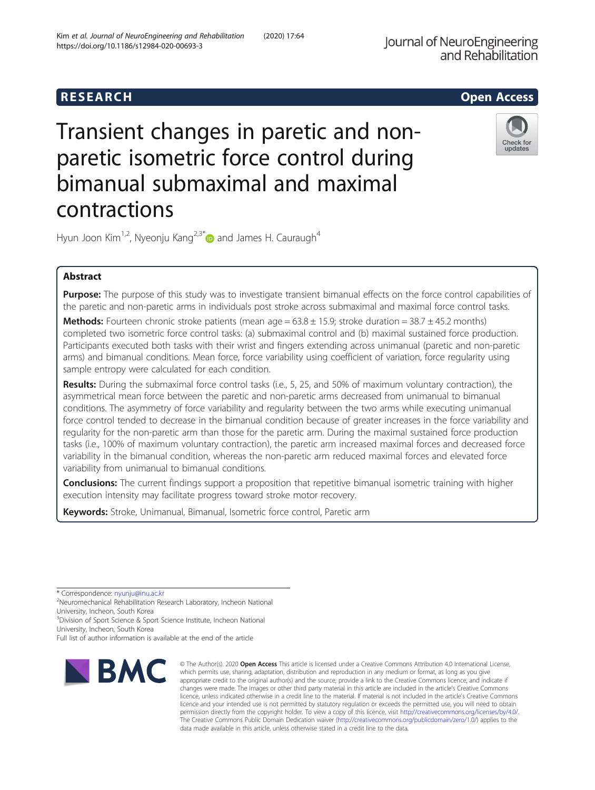# R E S EAR CH Open Access

# Transient changes in paretic and nonparetic isometric force control during bimanual submaximal and maximal contractions



Hyun Joon Kim<sup>1,2</sup>, Nyeonju Kang<sup>2,3\*</sup> and James H. Cauraugh<sup>4</sup>

## Abstract

Purpose: The purpose of this study was to investigate transient bimanual effects on the force control capabilities of the paretic and non-paretic arms in individuals post stroke across submaximal and maximal force control tasks.

**Methods:** Fourteen chronic stroke patients (mean  $age = 63.8 \pm 15.9$ ; stroke duration =  $38.7 \pm 45.2$  months) completed two isometric force control tasks: (a) submaximal control and (b) maximal sustained force production. Participants executed both tasks with their wrist and fingers extending across unimanual (paretic and non-paretic arms) and bimanual conditions. Mean force, force variability using coefficient of variation, force regularity using sample entropy were calculated for each condition.

Results: During the submaximal force control tasks (i.e., 5, 25, and 50% of maximum voluntary contraction), the asymmetrical mean force between the paretic and non-paretic arms decreased from unimanual to bimanual conditions. The asymmetry of force variability and regularity between the two arms while executing unimanual force control tended to decrease in the bimanual condition because of greater increases in the force variability and regularity for the non-paretic arm than those for the paretic arm. During the maximal sustained force production tasks (i.e., 100% of maximum voluntary contraction), the paretic arm increased maximal forces and decreased force variability in the bimanual condition, whereas the non-paretic arm reduced maximal forces and elevated force variability from unimanual to bimanual conditions.

**Conclusions:** The current findings support a proposition that repetitive bimanual isometric training with higher execution intensity may facilitate progress toward stroke motor recovery.

Keywords: Stroke, Unimanual, Bimanual, Isometric force control, Paretic arm

\* Correspondence: [nyunju@inu.ac.kr](mailto:nyunju@inu.ac.kr) <sup>2</sup>

<sup>2</sup>Neuromechanical Rehabilitation Research Laboratory, Incheon National University, Incheon, South Korea

<sup>3</sup>Division of Sport Science & Sport Science Institute, Incheon National

University, Incheon, South Korea

Full list of author information is available at the end of the article



© The Author(s), 2020 **Open Access** This article is licensed under a Creative Commons Attribution 4.0 International License, which permits use, sharing, adaptation, distribution and reproduction in any medium or format, as long as you give appropriate credit to the original author(s) and the source, provide a link to the Creative Commons licence, and indicate if changes were made. The images or other third party material in this article are included in the article's Creative Commons licence, unless indicated otherwise in a credit line to the material. If material is not included in the article's Creative Commons licence and your intended use is not permitted by statutory regulation or exceeds the permitted use, you will need to obtain permission directly from the copyright holder. To view a copy of this licence, visit [http://creativecommons.org/licenses/by/4.0/.](http://creativecommons.org/licenses/by/4.0/) The Creative Commons Public Domain Dedication waiver [\(http://creativecommons.org/publicdomain/zero/1.0/](http://creativecommons.org/publicdomain/zero/1.0/)) applies to the data made available in this article, unless otherwise stated in a credit line to the data.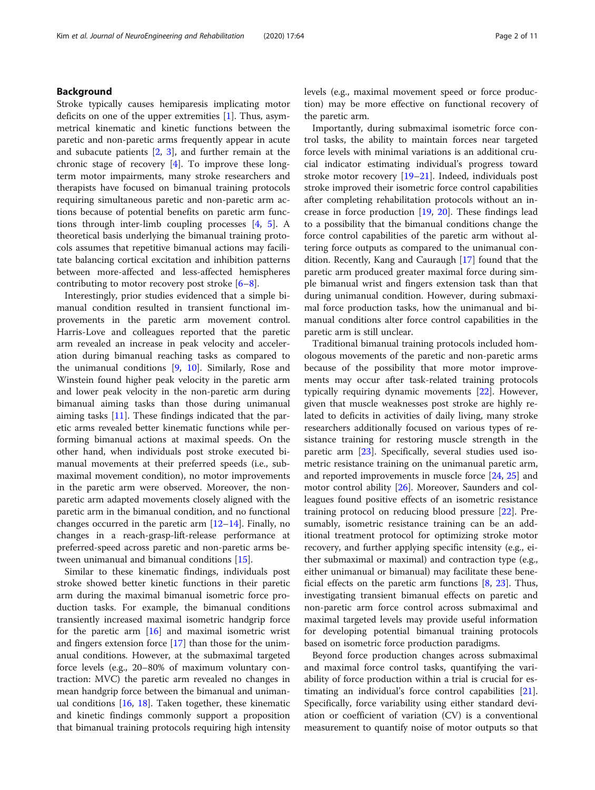#### Background

Stroke typically causes hemiparesis implicating motor deficits on one of the upper extremities [\[1](#page-9-0)]. Thus, asymmetrical kinematic and kinetic functions between the paretic and non-paretic arms frequently appear in acute and subacute patients [[2](#page-9-0), [3\]](#page-9-0), and further remain at the chronic stage of recovery [\[4](#page-9-0)]. To improve these longterm motor impairments, many stroke researchers and therapists have focused on bimanual training protocols requiring simultaneous paretic and non-paretic arm actions because of potential benefits on paretic arm functions through inter-limb coupling processes [\[4](#page-9-0), [5\]](#page-9-0). A theoretical basis underlying the bimanual training protocols assumes that repetitive bimanual actions may facilitate balancing cortical excitation and inhibition patterns between more-affected and less-affected hemispheres contributing to motor recovery post stroke [[6](#page-9-0)–[8](#page-10-0)].

Interestingly, prior studies evidenced that a simple bimanual condition resulted in transient functional improvements in the paretic arm movement control. Harris-Love and colleagues reported that the paretic arm revealed an increase in peak velocity and acceleration during bimanual reaching tasks as compared to the unimanual conditions [[9,](#page-10-0) [10](#page-10-0)]. Similarly, Rose and Winstein found higher peak velocity in the paretic arm and lower peak velocity in the non-paretic arm during bimanual aiming tasks than those during unimanual aiming tasks [[11](#page-10-0)]. These findings indicated that the paretic arms revealed better kinematic functions while performing bimanual actions at maximal speeds. On the other hand, when individuals post stroke executed bimanual movements at their preferred speeds (i.e., submaximal movement condition), no motor improvements in the paretic arm were observed. Moreover, the nonparetic arm adapted movements closely aligned with the paretic arm in the bimanual condition, and no functional changes occurred in the paretic arm  $[12-14]$  $[12-14]$  $[12-14]$ . Finally, no changes in a reach-grasp-lift-release performance at preferred-speed across paretic and non-paretic arms between unimanual and bimanual conditions [\[15\]](#page-10-0).

Similar to these kinematic findings, individuals post stroke showed better kinetic functions in their paretic arm during the maximal bimanual isometric force production tasks. For example, the bimanual conditions transiently increased maximal isometric handgrip force for the paretic arm [\[16\]](#page-10-0) and maximal isometric wrist and fingers extension force [\[17](#page-10-0)] than those for the unimanual conditions. However, at the submaximal targeted force levels (e.g., 20–80% of maximum voluntary contraction: MVC) the paretic arm revealed no changes in mean handgrip force between the bimanual and unimanual conditions [\[16](#page-10-0), [18\]](#page-10-0). Taken together, these kinematic and kinetic findings commonly support a proposition that bimanual training protocols requiring high intensity levels (e.g., maximal movement speed or force production) may be more effective on functional recovery of the paretic arm.

Importantly, during submaximal isometric force control tasks, the ability to maintain forces near targeted force levels with minimal variations is an additional crucial indicator estimating individual's progress toward stroke motor recovery [[19](#page-10-0)–[21](#page-10-0)]. Indeed, individuals post stroke improved their isometric force control capabilities after completing rehabilitation protocols without an increase in force production [\[19](#page-10-0), [20\]](#page-10-0). These findings lead to a possibility that the bimanual conditions change the force control capabilities of the paretic arm without altering force outputs as compared to the unimanual condition. Recently, Kang and Cauraugh [[17\]](#page-10-0) found that the paretic arm produced greater maximal force during simple bimanual wrist and fingers extension task than that during unimanual condition. However, during submaximal force production tasks, how the unimanual and bimanual conditions alter force control capabilities in the paretic arm is still unclear.

Traditional bimanual training protocols included homologous movements of the paretic and non-paretic arms because of the possibility that more motor improvements may occur after task-related training protocols typically requiring dynamic movements [[22\]](#page-10-0). However, given that muscle weaknesses post stroke are highly related to deficits in activities of daily living, many stroke researchers additionally focused on various types of resistance training for restoring muscle strength in the paretic arm [[23\]](#page-10-0). Specifically, several studies used isometric resistance training on the unimanual paretic arm, and reported improvements in muscle force [\[24](#page-10-0), [25](#page-10-0)] and motor control ability [\[26](#page-10-0)]. Moreover, Saunders and colleagues found positive effects of an isometric resistance training protocol on reducing blood pressure [\[22\]](#page-10-0). Presumably, isometric resistance training can be an additional treatment protocol for optimizing stroke motor recovery, and further applying specific intensity (e.g., either submaximal or maximal) and contraction type (e.g., either unimanual or bimanual) may facilitate these beneficial effects on the paretic arm functions [[8,](#page-10-0) [23](#page-10-0)]. Thus, investigating transient bimanual effects on paretic and non-paretic arm force control across submaximal and maximal targeted levels may provide useful information for developing potential bimanual training protocols based on isometric force production paradigms.

Beyond force production changes across submaximal and maximal force control tasks, quantifying the variability of force production within a trial is crucial for estimating an individual's force control capabilities [\[21](#page-10-0)]. Specifically, force variability using either standard deviation or coefficient of variation (CV) is a conventional measurement to quantify noise of motor outputs so that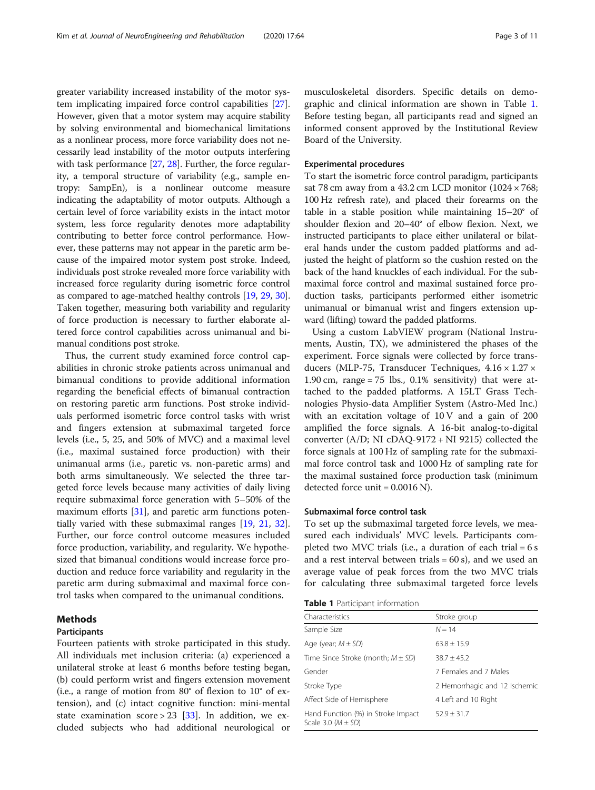greater variability increased instability of the motor system implicating impaired force control capabilities [\[27](#page-10-0)]. However, given that a motor system may acquire stability by solving environmental and biomechanical limitations as a nonlinear process, more force variability does not necessarily lead instability of the motor outputs interfering with task performance [[27](#page-10-0), [28](#page-10-0)]. Further, the force regularity, a temporal structure of variability (e.g., sample entropy: SampEn), is a nonlinear outcome measure indicating the adaptability of motor outputs. Although a certain level of force variability exists in the intact motor system, less force regularity denotes more adaptability contributing to better force control performance. However, these patterns may not appear in the paretic arm because of the impaired motor system post stroke. Indeed, individuals post stroke revealed more force variability with increased force regularity during isometric force control as compared to age-matched healthy controls [\[19,](#page-10-0) [29,](#page-10-0) [30](#page-10-0)]. Taken together, measuring both variability and regularity of force production is necessary to further elaborate altered force control capabilities across unimanual and bimanual conditions post stroke.

Thus, the current study examined force control capabilities in chronic stroke patients across unimanual and bimanual conditions to provide additional information regarding the beneficial effects of bimanual contraction on restoring paretic arm functions. Post stroke individuals performed isometric force control tasks with wrist and fingers extension at submaximal targeted force levels (i.e., 5, 25, and 50% of MVC) and a maximal level (i.e., maximal sustained force production) with their unimanual arms (i.e., paretic vs. non-paretic arms) and both arms simultaneously. We selected the three targeted force levels because many activities of daily living require submaximal force generation with 5–50% of the maximum efforts [\[31](#page-10-0)], and paretic arm functions potentially varied with these submaximal ranges [\[19](#page-10-0), [21](#page-10-0), [32](#page-10-0)]. Further, our force control outcome measures included force production, variability, and regularity. We hypothesized that bimanual conditions would increase force production and reduce force variability and regularity in the paretic arm during submaximal and maximal force control tasks when compared to the unimanual conditions.

#### Methods

#### Participants

Fourteen patients with stroke participated in this study. All individuals met inclusion criteria: (a) experienced a unilateral stroke at least 6 months before testing began, (b) could perform wrist and fingers extension movement (i.e., a range of motion from 80° of flexion to 10° of extension), and (c) intact cognitive function: mini-mental state examination score  $> 23$  [[33](#page-10-0)]. In addition, we excluded subjects who had additional neurological or musculoskeletal disorders. Specific details on demographic and clinical information are shown in Table 1. Before testing began, all participants read and signed an informed consent approved by the Institutional Review Board of the University.

#### Experimental procedures

To start the isometric force control paradigm, participants sat 78 cm away from a 43.2 cm LCD monitor  $(1024 \times 768)$ ; 100 Hz refresh rate), and placed their forearms on the table in a stable position while maintaining 15–20° of shoulder flexion and 20–40° of elbow flexion. Next, we instructed participants to place either unilateral or bilateral hands under the custom padded platforms and adjusted the height of platform so the cushion rested on the back of the hand knuckles of each individual. For the submaximal force control and maximal sustained force production tasks, participants performed either isometric unimanual or bimanual wrist and fingers extension upward (lifting) toward the padded platforms.

Using a custom LabVIEW program (National Instruments, Austin, TX), we administered the phases of the experiment. Force signals were collected by force transducers (MLP-75, Transducer Techniques,  $4.16 \times 1.27 \times$ 1.90 cm, range =  $75$  lbs., 0.1% sensitivity) that were attached to the padded platforms. A 15LT Grass Technologies Physio-data Amplifier System (Astro-Med Inc.) with an excitation voltage of 10 V and a gain of 200 amplified the force signals. A 16-bit analog-to-digital converter (A/D; NI cDAQ-9172 + NI 9215) collected the force signals at 100 Hz of sampling rate for the submaximal force control task and 1000 Hz of sampling rate for the maximal sustained force production task (minimum detected force unit  $= 0.0016$  N).

#### Submaximal force control task

To set up the submaximal targeted force levels, we measured each individuals' MVC levels. Participants completed two MVC trials (i.e., a duration of each trial  $= 6 s$ ) and a rest interval between trials  $= 60 \text{ s}$ ), and we used an average value of peak forces from the two MVC trials for calculating three submaximal targeted force levels

| Table 1 Participant information |  |  |
|---------------------------------|--|--|
|---------------------------------|--|--|

| Characteristics                                              | Stroke group                  |
|--------------------------------------------------------------|-------------------------------|
| Sample Size                                                  | $N = 14$                      |
| Age (year; $M \pm SD$ )                                      | $63.8 + 15.9$                 |
| Time Since Stroke (month; $M \pm SD$ )                       | $38.7 + 45.2$                 |
| Gender                                                       | 7 Females and 7 Males         |
| Stroke Type                                                  | 2 Hemorrhagic and 12 Ischemic |
| Affect Side of Hemisphere                                    | 4 Left and 10 Right           |
| Hand Function (%) in Stroke Impact<br>Scale 3.0 $(M \pm SD)$ | $52.9 + 31.7$                 |
|                                                              |                               |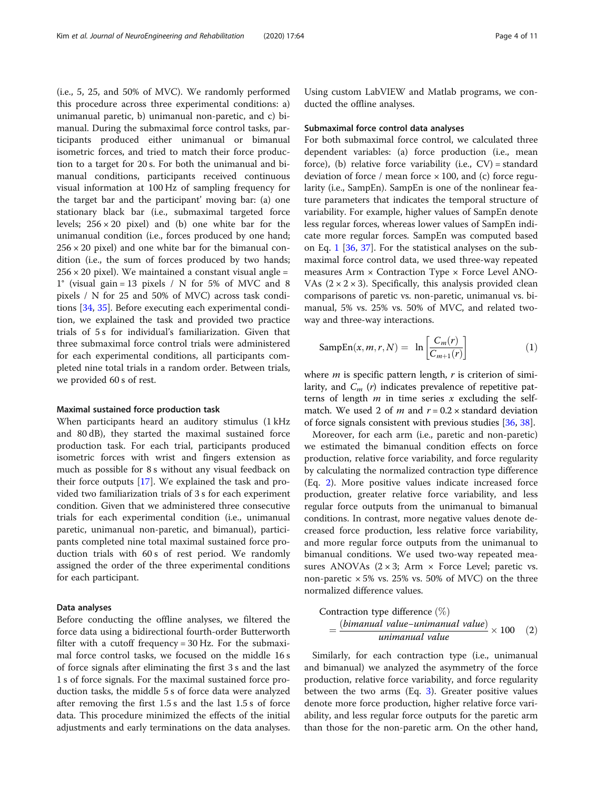<span id="page-3-0"></span>(i.e., 5, 25, and 50% of MVC). We randomly performed this procedure across three experimental conditions: a) unimanual paretic, b) unimanual non-paretic, and c) bimanual. During the submaximal force control tasks, participants produced either unimanual or bimanual isometric forces, and tried to match their force production to a target for 20 s. For both the unimanual and bimanual conditions, participants received continuous visual information at 100 Hz of sampling frequency for the target bar and the participant' moving bar: (a) one stationary black bar (i.e., submaximal targeted force levels;  $256 \times 20$  pixel) and (b) one white bar for the unimanual condition (i.e., forces produced by one hand;  $256 \times 20$  pixel) and one white bar for the bimanual condition (i.e., the sum of forces produced by two hands;  $256 \times 20$  pixel). We maintained a constant visual angle =  $1^\circ$  (visual gain = 13 pixels / N for 5% of MVC and 8 pixels / N for 25 and 50% of MVC) across task conditions [[34,](#page-10-0) [35](#page-10-0)]. Before executing each experimental condition, we explained the task and provided two practice trials of 5 s for individual's familiarization. Given that three submaximal force control trials were administered for each experimental conditions, all participants completed nine total trials in a random order. Between trials, we provided 60 s of rest.

#### Maximal sustained force production task

When participants heard an auditory stimulus (1 kHz and 80 dB), they started the maximal sustained force production task. For each trial, participants produced isometric forces with wrist and fingers extension as much as possible for 8 s without any visual feedback on their force outputs [\[17](#page-10-0)]. We explained the task and provided two familiarization trials of 3 s for each experiment condition. Given that we administered three consecutive trials for each experimental condition (i.e., unimanual paretic, unimanual non-paretic, and bimanual), participants completed nine total maximal sustained force production trials with 60 s of rest period. We randomly assigned the order of the three experimental conditions for each participant.

#### Data analyses

Before conducting the offline analyses, we filtered the force data using a bidirectional fourth-order Butterworth filter with a cutoff frequency = 30 Hz. For the submaximal force control tasks, we focused on the middle 16 s of force signals after eliminating the first 3 s and the last 1 s of force signals. For the maximal sustained force production tasks, the middle 5 s of force data were analyzed after removing the first 1.5 s and the last 1.5 s of force data. This procedure minimized the effects of the initial adjustments and early terminations on the data analyses.

Using custom LabVIEW and Matlab programs, we conducted the offline analyses.

#### Submaximal force control data analyses

For both submaximal force control, we calculated three dependent variables: (a) force production (i.e., mean force), (b) relative force variability (i.e.,  $CV$ ) = standard deviation of force / mean force  $\times$  100, and (c) force regularity (i.e., SampEn). SampEn is one of the nonlinear feature parameters that indicates the temporal structure of variability. For example, higher values of SampEn denote less regular forces, whereas lower values of SampEn indicate more regular forces. SampEn was computed based on Eq. 1 [\[36,](#page-10-0) [37](#page-10-0)]. For the statistical analyses on the submaximal force control data, we used three-way repeated measures Arm × Contraction Type × Force Level ANO-VAs  $(2 \times 2 \times 3)$ . Specifically, this analysis provided clean comparisons of paretic vs. non-paretic, unimanual vs. bimanual, 5% vs. 25% vs. 50% of MVC, and related twoway and three-way interactions.

$$
SampEn(x, m, r, N) = \ln \left[ \frac{C_m(r)}{C_{m+1}(r)} \right] \tag{1}
$$

where  $m$  is specific pattern length,  $r$  is criterion of similarity, and  $C_m$  (r) indicates prevalence of repetitive patterns of length  $m$  in time series  $x$  excluding the selfmatch. We used 2 of *m* and  $r = 0.2 \times$  standard deviation of force signals consistent with previous studies [[36,](#page-10-0) [38\]](#page-10-0).

Moreover, for each arm (i.e., paretic and non-paretic) we estimated the bimanual condition effects on force production, relative force variability, and force regularity by calculating the normalized contraction type difference (Eq. 2). More positive values indicate increased force production, greater relative force variability, and less regular force outputs from the unimanual to bimanual conditions. In contrast, more negative values denote decreased force production, less relative force variability, and more regular force outputs from the unimanual to bimanual conditions. We used two-way repeated measures ANOVAs  $(2 \times 3; )$  Arm  $\times$  Force Level; paretic vs. non-paretic  $\times$  5% vs. 25% vs. 50% of MVC) on the three normalized difference values.

Contraction type difference 
$$
(\%)
$$

\n
$$
= \frac{(bimanual value-unimanual value)}{unimanual value} \times 100
$$
 (2)

Similarly, for each contraction type (i.e., unimanual and bimanual) we analyzed the asymmetry of the force production, relative force variability, and force regularity between the two arms (Eq. [3\)](#page-4-0). Greater positive values denote more force production, higher relative force variability, and less regular force outputs for the paretic arm than those for the non-paretic arm. On the other hand,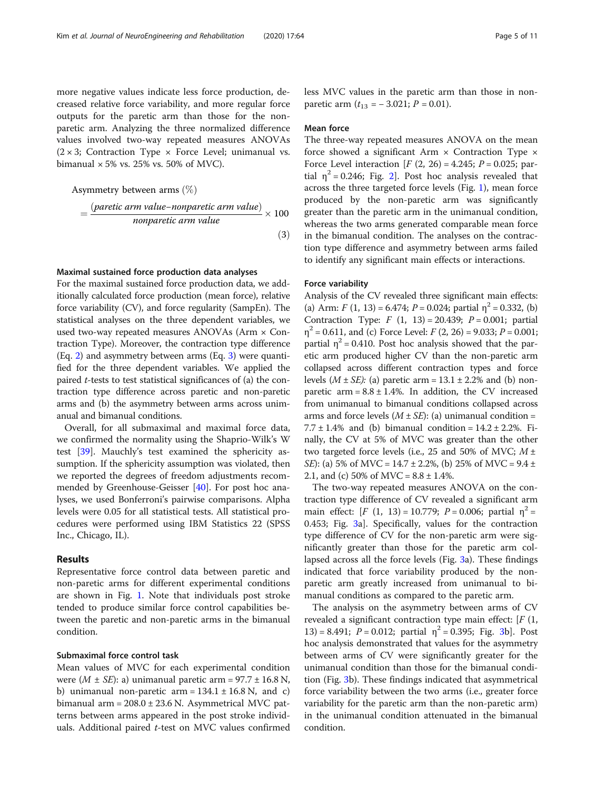<span id="page-4-0"></span>more negative values indicate less force production, decreased relative force variability, and more regular force outputs for the paretic arm than those for the nonparetic arm. Analyzing the three normalized difference values involved two-way repeated measures ANOVAs  $(2 \times 3;$  Contraction Type  $\times$  Force Level; unimanual vs. bimanual  $\times$  5% vs. 25% vs. 50% of MVC).

Asymmetry between arms  $(\%)$ 

$$
=\frac{(parentic\ arm\ value -nonparentic\ arm\ value)}{nonpartic\ arm\ value} \times 100
$$
\n(3)

#### Maximal sustained force production data analyses

For the maximal sustained force production data, we additionally calculated force production (mean force), relative force variability (CV), and force regularity (SampEn). The statistical analyses on the three dependent variables, we used two-way repeated measures ANOVAs (Arm × Contraction Type). Moreover, the contraction type difference (Eq. [2](#page-3-0)) and asymmetry between arms (Eq. 3) were quantified for the three dependent variables. We applied the paired  $t$ -tests to test statistical significances of (a) the contraction type difference across paretic and non-paretic arms and (b) the asymmetry between arms across unimanual and bimanual conditions.

Overall, for all submaximal and maximal force data, we confirmed the normality using the Shaprio-Wilk's W test [\[39](#page-10-0)]. Mauchly's test examined the sphericity assumption. If the sphericity assumption was violated, then we reported the degrees of freedom adjustments recommended by Greenhouse-Geisser [\[40](#page-10-0)]. For post hoc analyses, we used Bonferroni's pairwise comparisons. Alpha levels were 0.05 for all statistical tests. All statistical procedures were performed using IBM Statistics 22 (SPSS Inc., Chicago, IL).

#### Results

Representative force control data between paretic and non-paretic arms for different experimental conditions are shown in Fig. [1](#page-5-0). Note that individuals post stroke tended to produce similar force control capabilities between the paretic and non-paretic arms in the bimanual condition.

#### Submaximal force control task

Mean values of MVC for each experimental condition were  $(M \pm SE)$ : a) unimanual paretic arm = 97.7  $\pm$  16.8 N, b) unimanual non-paretic arm =  $134.1 \pm 16.8$  N, and c) bimanual arm =  $208.0 \pm 23.6$  N. Asymmetrical MVC patterns between arms appeared in the post stroke individuals. Additional paired  $t$ -test on MVC values confirmed less MVC values in the paretic arm than those in nonparetic arm  $(t_{13} = -3.021; P = 0.01)$ .

#### Mean force

The three-way repeated measures ANOVA on the mean force showed a significant Arm  $\times$  Contraction Type  $\times$ Force Level interaction  $[F (2, 26) = 4.245; P = 0.025;$  partial  $\eta^2 = 0.246$ ; Fig. 2. Post hoc analysis revealed that across the three targeted force levels (Fig. [1](#page-5-0)), mean force produced by the non-paretic arm was significantly greater than the paretic arm in the unimanual condition, whereas the two arms generated comparable mean force in the bimanual condition. The analyses on the contraction type difference and asymmetry between arms failed to identify any significant main effects or interactions.

#### Force variability

Analysis of the CV revealed three significant main effects: (a) Arm:  $F(1, 13) = 6.474$ ;  $P = 0.024$ ; partial  $\eta^2 = 0.332$ , (b) Contraction Type:  $F(1, 13) = 20.439; P = 0.001;$  partial  $\eta^2$  = 0.611, and (c) Force Level: *F* (2, 26) = 9.033; *P* = 0.001; partial  $\eta^2$  = 0.410. Post hoc analysis showed that the paretic arm produced higher CV than the non-paretic arm collapsed across different contraction types and force levels  $(M \pm SE)$ : (a) paretic arm = 13.1  $\pm$  2.2% and (b) nonparetic arm =  $8.8 \pm 1.4$ %. In addition, the CV increased from unimanual to bimanual conditions collapsed across arms and force levels  $(M \pm SE)$ : (a) unimanual condition = 7.7  $\pm$  1.4% and (b) bimanual condition = 14.2  $\pm$  2.2%. Finally, the CV at 5% of MVC was greater than the other two targeted force levels (i.e., 25 and 50% of MVC;  $M \pm$ SE): (a) 5% of MVC = 14.7  $\pm$  2.2%, (b) 25% of MVC = 9.4  $\pm$ 2.1, and (c) 50% of MVC =  $8.8 \pm 1.4$ %.

The two-way repeated measures ANOVA on the contraction type difference of CV revealed a significant arm main effect:  $[F (1, 13) = 10.779; P = 0.006;$  partial  $\eta^2 =$ 0.453; Fig. [3a](#page-6-0)]. Specifically, values for the contraction type difference of CV for the non-paretic arm were significantly greater than those for the paretic arm collapsed across all the force levels (Fig. [3a](#page-6-0)). These findings indicated that force variability produced by the nonparetic arm greatly increased from unimanual to bimanual conditions as compared to the paretic arm.

The analysis on the asymmetry between arms of CV revealed a significant contraction type main effect:  $[F(1,$ 1[3](#page-6-0)) = 8.491;  $P = 0.012$ ; partial  $\eta^2 = 0.395$ ; Fig. 3b]. Post hoc analysis demonstrated that values for the asymmetry between arms of CV were significantly greater for the unimanual condition than those for the bimanual condition (Fig. [3](#page-6-0)b). These findings indicated that asymmetrical force variability between the two arms (i.e., greater force variability for the paretic arm than the non-paretic arm) in the unimanual condition attenuated in the bimanual condition.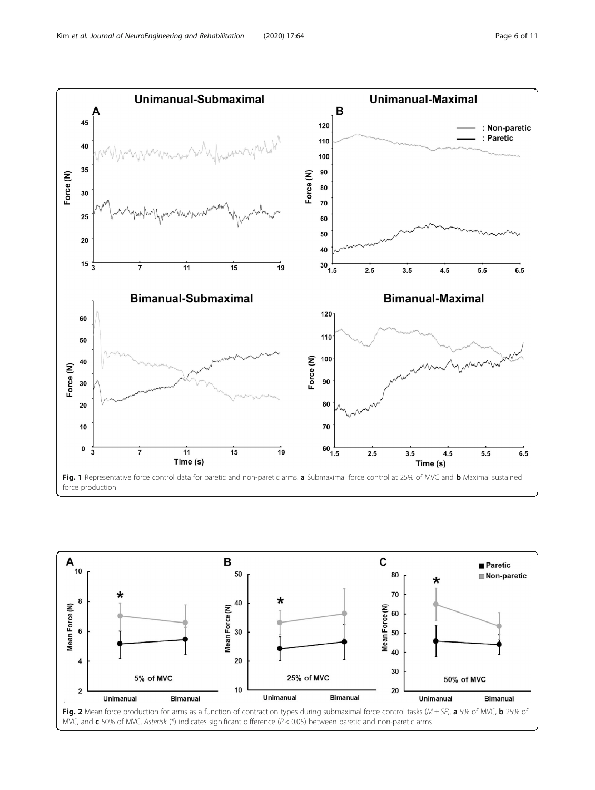<span id="page-5-0"></span>

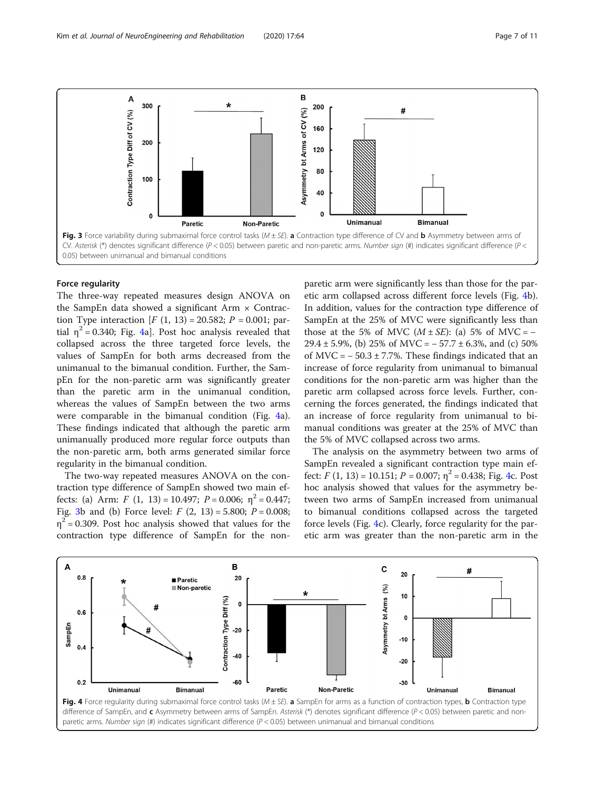<span id="page-6-0"></span>

#### Force regularity

The three-way repeated measures design ANOVA on the SampEn data showed a significant Arm  $\times$  Contraction Type interaction  $[F (1, 13) = 20.582; P = 0.001;$  partial  $\eta^2$  = 0.340; Fig. 4a]. Post hoc analysis revealed that collapsed across the three targeted force levels, the values of SampEn for both arms decreased from the unimanual to the bimanual condition. Further, the SampEn for the non-paretic arm was significantly greater than the paretic arm in the unimanual condition, whereas the values of SampEn between the two arms were comparable in the bimanual condition (Fig. 4a). These findings indicated that although the paretic arm unimanually produced more regular force outputs than the non-paretic arm, both arms generated similar force regularity in the bimanual condition.

The two-way repeated measures ANOVA on the contraction type difference of SampEn showed two main effects: (a) Arm:  $F(1, 13) = 10.497$ ;  $P = 0.006$ ;  $\eta^2 = 0.447$ ; Fig. 3b and (b) Force level:  $F(2, 13) = 5.800; P = 0.008;$  $\eta^2$  = 0.309. Post hoc analysis showed that values for the contraction type difference of SampEn for the nonparetic arm were significantly less than those for the paretic arm collapsed across different force levels (Fig. 4b). In addition, values for the contraction type difference of SampEn at the 25% of MVC were significantly less than those at the 5% of MVC ( $M \pm SE$ ): (a) 5% of MVC = − 29.4 ± 5.9%, (b) 25% of MVC =  $-57.7 \pm 6.3$ %, and (c) 50% of MVC =  $-50.3 \pm 7.7$ %. These findings indicated that an increase of force regularity from unimanual to bimanual conditions for the non-paretic arm was higher than the paretic arm collapsed across force levels. Further, concerning the forces generated, the findings indicated that an increase of force regularity from unimanual to bimanual conditions was greater at the 25% of MVC than the 5% of MVC collapsed across two arms.

The analysis on the asymmetry between two arms of SampEn revealed a significant contraction type main effect:  $F(1, 13) = 10.151$ ;  $P = 0.007$ ;  $\eta^2 = 0.438$ ; Fig. 4c. Post hoc analysis showed that values for the asymmetry between two arms of SampEn increased from unimanual to bimanual conditions collapsed across the targeted force levels (Fig. 4c). Clearly, force regularity for the paretic arm was greater than the non-paretic arm in the



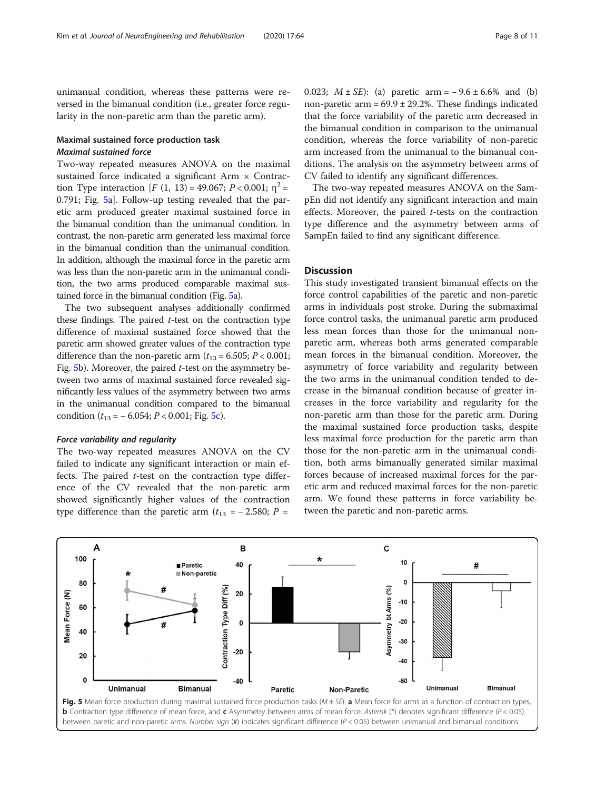unimanual condition, whereas these patterns were reversed in the bimanual condition (i.e., greater force regularity in the non-paretic arm than the paretic arm).

### Maximal sustained force production task Maximal sustained force

Two-way repeated measures ANOVA on the maximal sustained force indicated a significant Arm  $\times$  Contraction Type interaction  $[F (1, 13) = 49.067; P < 0.001; \eta^2 =$ 0.791; Fig. 5a]. Follow-up testing revealed that the paretic arm produced greater maximal sustained force in the bimanual condition than the unimanual condition. In contrast, the non-paretic arm generated less maximal force in the bimanual condition than the unimanual condition. In addition, although the maximal force in the paretic arm was less than the non-paretic arm in the unimanual condition, the two arms produced comparable maximal sustained force in the bimanual condition (Fig. 5a).

The two subsequent analyses additionally confirmed these findings. The paired  $t$ -test on the contraction type difference of maximal sustained force showed that the paretic arm showed greater values of the contraction type difference than the non-paretic arm  $(t_{13} = 6.505; P < 0.001;$ Fig.  $5b$ ). Moreover, the paired *t*-test on the asymmetry between two arms of maximal sustained force revealed significantly less values of the asymmetry between two arms in the unimanual condition compared to the bimanual condition  $(t_{13} = -6.054; P < 0.001;$  Fig. 5c).

#### Force variability and regularity

The two-way repeated measures ANOVA on the CV failed to indicate any significant interaction or main effects. The paired t-test on the contraction type difference of the CV revealed that the non-paretic arm showed significantly higher values of the contraction type difference than the paretic arm ( $t_{13}$  = -2.580; P =

0.023;  $M \pm SE$ ): (a) paretic arm =  $-9.6 \pm 6.6$ % and (b) non-paretic arm =  $69.9 \pm 29.2$ %. These findings indicated that the force variability of the paretic arm decreased in the bimanual condition in comparison to the unimanual condition, whereas the force variability of non-paretic arm increased from the unimanual to the bimanual conditions. The analysis on the asymmetry between arms of CV failed to identify any significant differences.

The two-way repeated measures ANOVA on the SampEn did not identify any significant interaction and main effects. Moreover, the paired t-tests on the contraction type difference and the asymmetry between arms of SampEn failed to find any significant difference.

#### **Discussion**

This study investigated transient bimanual effects on the force control capabilities of the paretic and non-paretic arms in individuals post stroke. During the submaximal force control tasks, the unimanual paretic arm produced less mean forces than those for the unimanual nonparetic arm, whereas both arms generated comparable mean forces in the bimanual condition. Moreover, the asymmetry of force variability and regularity between the two arms in the unimanual condition tended to decrease in the bimanual condition because of greater increases in the force variability and regularity for the non-paretic arm than those for the paretic arm. During the maximal sustained force production tasks, despite less maximal force production for the paretic arm than those for the non-paretic arm in the unimanual condition, both arms bimanually generated similar maximal forces because of increased maximal forces for the paretic arm and reduced maximal forces for the non-paretic arm. We found these patterns in force variability between the paretic and non-paretic arms.

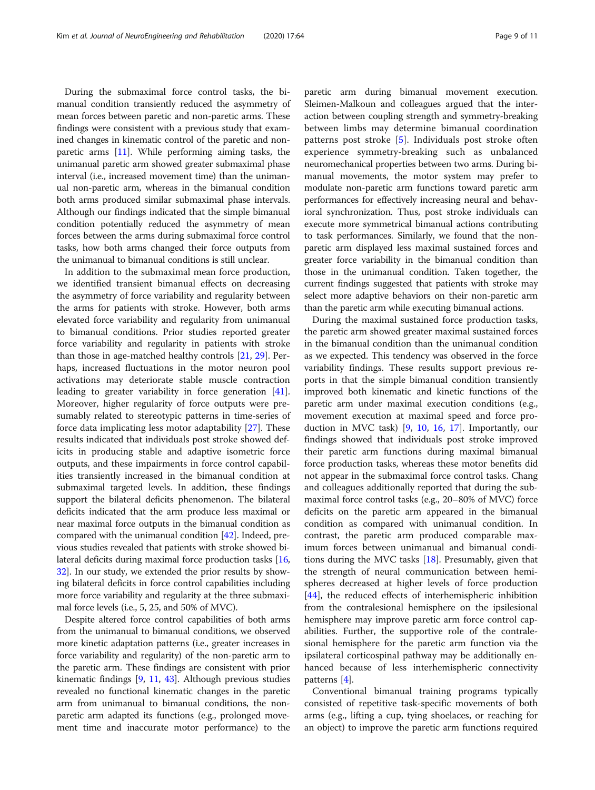During the submaximal force control tasks, the bimanual condition transiently reduced the asymmetry of mean forces between paretic and non-paretic arms. These findings were consistent with a previous study that examined changes in kinematic control of the paretic and nonparetic arms [[11](#page-10-0)]. While performing aiming tasks, the unimanual paretic arm showed greater submaximal phase interval (i.e., increased movement time) than the unimanual non-paretic arm, whereas in the bimanual condition both arms produced similar submaximal phase intervals. Although our findings indicated that the simple bimanual condition potentially reduced the asymmetry of mean forces between the arms during submaximal force control tasks, how both arms changed their force outputs from the unimanual to bimanual conditions is still unclear.

In addition to the submaximal mean force production, we identified transient bimanual effects on decreasing the asymmetry of force variability and regularity between the arms for patients with stroke. However, both arms elevated force variability and regularity from unimanual to bimanual conditions. Prior studies reported greater force variability and regularity in patients with stroke than those in age-matched healthy controls [\[21](#page-10-0), [29](#page-10-0)]. Perhaps, increased fluctuations in the motor neuron pool activations may deteriorate stable muscle contraction leading to greater variability in force generation [\[41](#page-10-0)]. Moreover, higher regularity of force outputs were presumably related to stereotypic patterns in time-series of force data implicating less motor adaptability [[27\]](#page-10-0). These results indicated that individuals post stroke showed deficits in producing stable and adaptive isometric force outputs, and these impairments in force control capabilities transiently increased in the bimanual condition at submaximal targeted levels. In addition, these findings support the bilateral deficits phenomenon. The bilateral deficits indicated that the arm produce less maximal or near maximal force outputs in the bimanual condition as compared with the unimanual condition [\[42\]](#page-10-0). Indeed, previous studies revealed that patients with stroke showed bi-lateral deficits during maximal force production tasks [[16](#page-10-0), [32](#page-10-0)]. In our study, we extended the prior results by showing bilateral deficits in force control capabilities including more force variability and regularity at the three submaximal force levels (i.e., 5, 25, and 50% of MVC).

Despite altered force control capabilities of both arms from the unimanual to bimanual conditions, we observed more kinetic adaptation patterns (i.e., greater increases in force variability and regularity) of the non-paretic arm to the paretic arm. These findings are consistent with prior kinematic findings [[9](#page-10-0), [11,](#page-10-0) [43\]](#page-10-0). Although previous studies revealed no functional kinematic changes in the paretic arm from unimanual to bimanual conditions, the nonparetic arm adapted its functions (e.g., prolonged movement time and inaccurate motor performance) to the paretic arm during bimanual movement execution. Sleimen-Malkoun and colleagues argued that the interaction between coupling strength and symmetry-breaking between limbs may determine bimanual coordination patterns post stroke [\[5](#page-9-0)]. Individuals post stroke often experience symmetry-breaking such as unbalanced neuromechanical properties between two arms. During bimanual movements, the motor system may prefer to modulate non-paretic arm functions toward paretic arm performances for effectively increasing neural and behavioral synchronization. Thus, post stroke individuals can execute more symmetrical bimanual actions contributing to task performances. Similarly, we found that the nonparetic arm displayed less maximal sustained forces and greater force variability in the bimanual condition than those in the unimanual condition. Taken together, the current findings suggested that patients with stroke may select more adaptive behaviors on their non-paretic arm than the paretic arm while executing bimanual actions.

During the maximal sustained force production tasks, the paretic arm showed greater maximal sustained forces in the bimanual condition than the unimanual condition as we expected. This tendency was observed in the force variability findings. These results support previous reports in that the simple bimanual condition transiently improved both kinematic and kinetic functions of the paretic arm under maximal execution conditions (e.g., movement execution at maximal speed and force production in MVC task) [\[9](#page-10-0), [10](#page-10-0), [16,](#page-10-0) [17\]](#page-10-0). Importantly, our findings showed that individuals post stroke improved their paretic arm functions during maximal bimanual force production tasks, whereas these motor benefits did not appear in the submaximal force control tasks. Chang and colleagues additionally reported that during the submaximal force control tasks (e.g., 20–80% of MVC) force deficits on the paretic arm appeared in the bimanual condition as compared with unimanual condition. In contrast, the paretic arm produced comparable maximum forces between unimanual and bimanual conditions during the MVC tasks [[18](#page-10-0)]. Presumably, given that the strength of neural communication between hemispheres decreased at higher levels of force production [[44\]](#page-10-0), the reduced effects of interhemispheric inhibition from the contralesional hemisphere on the ipsilesional hemisphere may improve paretic arm force control capabilities. Further, the supportive role of the contralesional hemisphere for the paretic arm function via the ipsilateral corticospinal pathway may be additionally enhanced because of less interhemispheric connectivity patterns [\[4](#page-9-0)].

Conventional bimanual training programs typically consisted of repetitive task-specific movements of both arms (e.g., lifting a cup, tying shoelaces, or reaching for an object) to improve the paretic arm functions required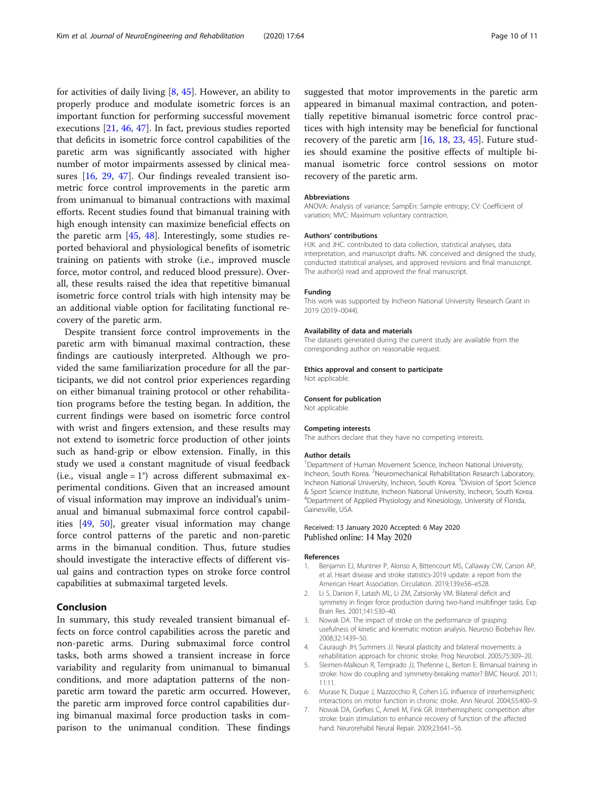<span id="page-9-0"></span>for activities of daily living  $[8, 45]$  $[8, 45]$  $[8, 45]$  $[8, 45]$ . However, an ability to properly produce and modulate isometric forces is an important function for performing successful movement executions [\[21](#page-10-0), [46](#page-10-0), [47](#page-10-0)]. In fact, previous studies reported that deficits in isometric force control capabilities of the paretic arm was significantly associated with higher number of motor impairments assessed by clinical measures [\[16](#page-10-0), [29,](#page-10-0) [47](#page-10-0)]. Our findings revealed transient isometric force control improvements in the paretic arm from unimanual to bimanual contractions with maximal efforts. Recent studies found that bimanual training with high enough intensity can maximize beneficial effects on the paretic arm [[45,](#page-10-0) [48\]](#page-10-0). Interestingly, some studies reported behavioral and physiological benefits of isometric training on patients with stroke (i.e., improved muscle force, motor control, and reduced blood pressure). Overall, these results raised the idea that repetitive bimanual isometric force control trials with high intensity may be an additional viable option for facilitating functional recovery of the paretic arm.

Despite transient force control improvements in the paretic arm with bimanual maximal contraction, these findings are cautiously interpreted. Although we provided the same familiarization procedure for all the participants, we did not control prior experiences regarding on either bimanual training protocol or other rehabilitation programs before the testing began. In addition, the current findings were based on isometric force control with wrist and fingers extension, and these results may not extend to isometric force production of other joints such as hand-grip or elbow extension. Finally, in this study we used a constant magnitude of visual feedback (i.e., visual angle =  $1^{\circ}$ ) across different submaximal experimental conditions. Given that an increased amount of visual information may improve an individual's unimanual and bimanual submaximal force control capabilities [\[49](#page-10-0), [50\]](#page-10-0), greater visual information may change force control patterns of the paretic and non-paretic arms in the bimanual condition. Thus, future studies should investigate the interactive effects of different visual gains and contraction types on stroke force control capabilities at submaximal targeted levels.

#### Conclusion

In summary, this study revealed transient bimanual effects on force control capabilities across the paretic and non-paretic arms. During submaximal force control tasks, both arms showed a transient increase in force variability and regularity from unimanual to bimanual conditions, and more adaptation patterns of the nonparetic arm toward the paretic arm occurred. However, the paretic arm improved force control capabilities during bimanual maximal force production tasks in comparison to the unimanual condition. These findings suggested that motor improvements in the paretic arm appeared in bimanual maximal contraction, and potentially repetitive bimanual isometric force control practices with high intensity may be beneficial for functional recovery of the paretic arm  $[16, 18, 23, 45]$  $[16, 18, 23, 45]$  $[16, 18, 23, 45]$  $[16, 18, 23, 45]$  $[16, 18, 23, 45]$  $[16, 18, 23, 45]$  $[16, 18, 23, 45]$ . Future studies should examine the positive effects of multiple bimanual isometric force control sessions on motor recovery of the paretic arm.

#### Abbreviations

ANOVA: Analysis of variance; SampEn: Sample entropy; CV: Coefficient of variation; MVC: Maximum voluntary contraction.

#### Authors' contributions

HJK. and JHC. contributed to data collection, statistical analyses, data interpretation, and manuscript drafts. NK. conceived and designed the study, conducted statistical analyses, and approved revisions and final manuscript. The author(s) read and approved the final manuscript.

#### Funding

This work was supported by Incheon National University Research Grant in 2019 (2019–0044).

#### Availability of data and materials

The datasets generated during the current study are available from the corresponding author on reasonable request.

#### Ethics approval and consent to participate

Not applicable.

#### Consent for publication

Not applicable.

#### Competing interests

The authors declare that they have no competing interests.

#### Author details

<sup>1</sup>Department of Human Movement Science, Incheon National University Incheon, South Korea. <sup>2</sup>Neuromechanical Rehabilitation Research Laboratory, Incheon National University, Incheon, South Korea. <sup>3</sup>Division of Sport Science & Sport Science Institute, Incheon National University, Incheon, South Korea. 4 Department of Applied Physiology and Kinesiology, University of Florida, Gainesville, USA.

#### Received: 13 January 2020 Accepted: 6 May 2020 Published online: 14 May 2020

#### References

- Benjamin EJ, Muntner P, Alonso A, Bittencourt MS, Callaway CW, Carson AP, et al. Heart disease and stroke statistics-2019 update: a report from the American Heart Association. Circulation. 2019;139:e56–e528.
- 2. Li S, Danion F, Latash ML, Li ZM, Zatsiorsky VM. Bilateral deficit and symmetry in finger force production during two-hand multifinger tasks. Exp Brain Res. 2001;141:530–40.
- 3. Nowak DA. The impact of stroke on the performance of grasping: usefulness of kinetic and kinematic motion analysis. Neurosci Biobehav Rev. 2008;32:1439–50.
- Cauraugh JH, Summers JJ. Neural plasticity and bilateral movements: a rehabilitation approach for chronic stroke. Prog Neurobiol. 2005;75:309–20.
- 5. Sleimen-Malkoun R, Temprado JJ, Thefenne L, Berton E. Bimanual training in stroke: how do coupling and symmetry-breaking matter? BMC Neurol. 2011; 11:11.
- 6. Murase N, Duque J, Mazzocchio R, Cohen LG. Influence of interhemispheric interactions on motor function in chronic stroke. Ann Neurol. 2004;55:400–9.
- 7. Nowak DA, Grefkes C, Ameli M, Fink GR. Interhemispheric competition after stroke: brain stimulation to enhance recovery of function of the affected hand. Neurorehabil Neural Repair. 2009;23:641–56.